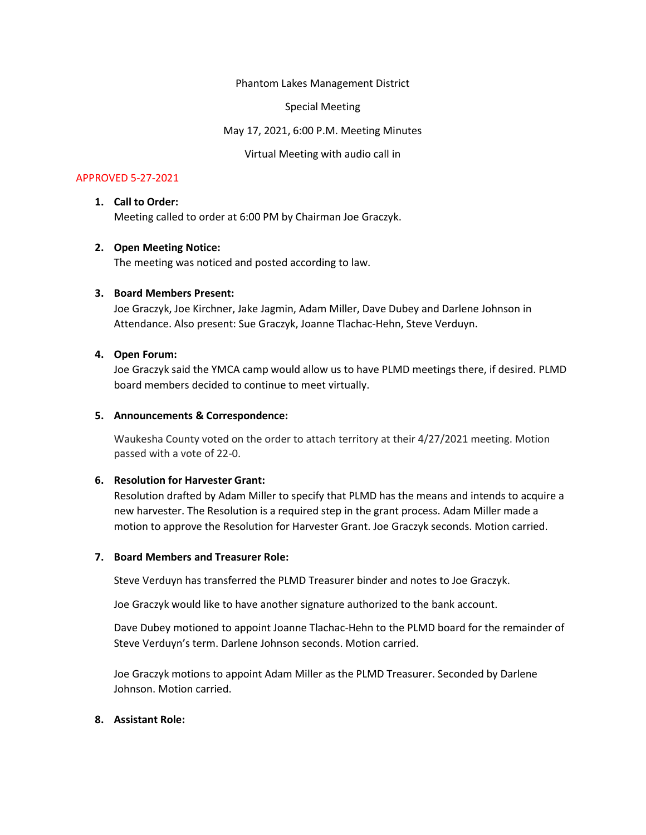Phantom Lakes Management District

Special Meeting

May 17, 2021, 6:00 P.M. Meeting Minutes

Virtual Meeting with audio call in

# APPROVED 5-27-2021

### 1. Call to Order:

Meeting called to order at 6:00 PM by Chairman Joe Graczyk.

### 2. Open Meeting Notice:

The meeting was noticed and posted according to law.

### 3. Board Members Present:

Joe Graczyk, Joe Kirchner, Jake Jagmin, Adam Miller, Dave Dubey and Darlene Johnson in Attendance. Also present: Sue Graczyk, Joanne Tlachac-Hehn, Steve Verduyn.

### 4. Open Forum:

Joe Graczyk said the YMCA camp would allow us to have PLMD meetings there, if desired. PLMD board members decided to continue to meet virtually.

### 5. Announcements & Correspondence:

Waukesha County voted on the order to attach territory at their 4/27/2021 meeting. Motion passed with a vote of 22-0.

#### 6. Resolution for Harvester Grant:

Resolution drafted by Adam Miller to specify that PLMD has the means and intends to acquire a new harvester. The Resolution is a required step in the grant process. Adam Miller made a motion to approve the Resolution for Harvester Grant. Joe Graczyk seconds. Motion carried.

#### 7. Board Members and Treasurer Role:

Steve Verduyn has transferred the PLMD Treasurer binder and notes to Joe Graczyk.

Joe Graczyk would like to have another signature authorized to the bank account.

Dave Dubey motioned to appoint Joanne Tlachac-Hehn to the PLMD board for the remainder of Steve Verduyn's term. Darlene Johnson seconds. Motion carried.

Joe Graczyk motions to appoint Adam Miller as the PLMD Treasurer. Seconded by Darlene Johnson. Motion carried.

# 8. Assistant Role: